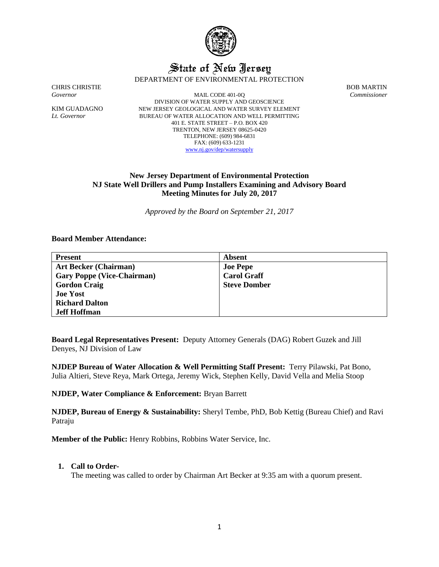

# State of New Jersey

DEPARTMENT OF ENVIRONMENTAL PROTECTION

CHRIS CHRISTIE BOB MARTIN

*Governor* MAIL CODE 401-0Q *Commissioner* DIVISION OF WATER SUPPLY AND GEOSCIENCE KIM GUADAGNO NEW JERSEY GEOLOGICAL AND WATER SURVEY ELEMENT *Lt. Governor* BUREAU OF WATER ALLOCATION AND WELL PERMITTING 401 E. STATE STREET – P.O. BOX 420 TRENTON, NEW JERSEY 08625-0420 TELEPHONE: (609) 984-6831 FAX: (609) 633-1231 [www.nj.gov/dep/watersupply](http://www.nj.gov/dep/watersupply)

# **New Jersey Department of Environmental Protection NJ State Well Drillers and Pump Installers Examining and Advisory Board Meeting Minutes for July 20, 2017**

*Approved by the Board on September 21, 2017*

### **Board Member Attendance:**

| <b>Present</b>                    | Absent              |
|-----------------------------------|---------------------|
| <b>Art Becker (Chairman)</b>      | <b>Joe Pepe</b>     |
| <b>Gary Poppe (Vice-Chairman)</b> | <b>Carol Graff</b>  |
| <b>Gordon Craig</b>               | <b>Steve Domber</b> |
| <b>Joe Yost</b>                   |                     |
| <b>Richard Dalton</b>             |                     |
| <b>Jeff Hoffman</b>               |                     |

**Board Legal Representatives Present:** Deputy Attorney Generals (DAG) Robert Guzek and Jill Denyes, NJ Division of Law

**NJDEP Bureau of Water Allocation & Well Permitting Staff Present:** Terry Pilawski, Pat Bono, Julia Altieri, Steve Reya, Mark Ortega, Jeremy Wick, Stephen Kelly, David Vella and Melia Stoop

**NJDEP, Water Compliance & Enforcement:** Bryan Barrett

**NJDEP, Bureau of Energy & Sustainability:** Sheryl Tembe, PhD, Bob Kettig (Bureau Chief) and Ravi Patraju

**Member of the Public:** Henry Robbins, Robbins Water Service, Inc.

# **1. Call to Order-**

The meeting was called to order by Chairman Art Becker at 9:35 am with a quorum present.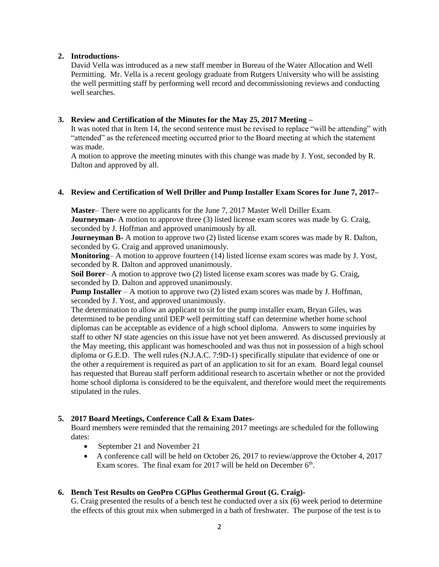# **2. Introductions-**

David Vella was introduced as a new staff member in Bureau of the Water Allocation and Well Permitting. Mr. Vella is a recent geology graduate from Rutgers University who will be assisting the well permitting staff by performing well record and decommissioning reviews and conducting well searches.

# **3. Review and Certification of the Minutes for the May 25, 2017 Meeting –**

It was noted that in Item 14, the second sentence must be revised to replace "will be attending" with "attended" as the referenced meeting occurred prior to the Board meeting at which the statement was made.

A motion to approve the meeting minutes with this change was made by J. Yost, seconded by R. Dalton and approved by all.

# **4. Review and Certification of Well Driller and Pump Installer Exam Scores for June 7, 2017–**

**Master**– There were no applicants for the June 7, 2017 Master Well Driller Exam.

**Journeyman-** A motion to approve three (3) listed license exam scores was made by G. Craig, seconded by J. Hoffman and approved unanimously by all.

**Journeyman B-** A motion to approve two (2) listed license exam scores was made by R. Dalton, seconded by G. Craig and approved unanimously.

**Monitoring**– A motion to approve fourteen (14) listed license exam scores was made by J. Yost, seconded by R. Dalton and approved unanimously.

**Soil Borer**– A motion to approve two (2) listed license exam scores was made by G. Craig, seconded by D. Dalton and approved unanimously.

**Pump Installer** – A motion to approve two (2) listed exam scores was made by J. Hoffman, seconded by J. Yost, and approved unanimously.

The determination to allow an applicant to sit for the pump installer exam, Bryan Giles, was determined to be pending until DEP well permitting staff can determine whether home school diplomas can be acceptable as evidence of a high school diploma. Answers to some inquiries by staff to other NJ state agencies on this issue have not yet been answered. As discussed previously at the May meeting, this applicant was homeschooled and was thus not in possession of a high school diploma or G.E.D. The well rules (N.J.A.C. 7:9D-1) specifically stipulate that evidence of one or the other a requirement is required as part of an application to sit for an exam. Board legal counsel has requested that Bureau staff perform additional research to ascertain whether or not the provided home school diploma is considered to be the equivalent, and therefore would meet the requirements stipulated in the rules.

# **5. 2017 Board Meetings, Conference Call & Exam Dates-**

Board members were reminded that the remaining 2017 meetings are scheduled for the following dates:

- September 21 and November 21
- A conference call will be held on October 26, 2017 to review/approve the October 4, 2017 Exam scores. The final exam for 2017 will be held on December  $6<sup>th</sup>$ .

# **6. Bench Test Results on GeoPro CGPlus Geothermal Grout (G. Craig)-**

G. Craig presented the results of a bench test he conducted over a six (6) week period to determine the effects of this grout mix when submerged in a bath of freshwater. The purpose of the test is to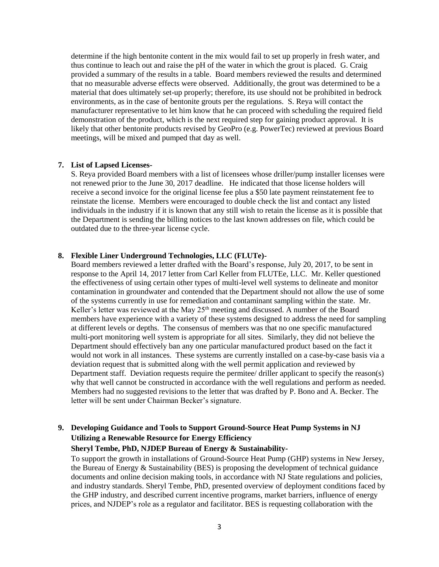determine if the high bentonite content in the mix would fail to set up properly in fresh water, and thus continue to leach out and raise the pH of the water in which the grout is placed. G. Craig provided a summary of the results in a table. Board members reviewed the results and determined that no measurable adverse effects were observed. Additionally, the grout was determined to be a material that does ultimately set-up properly; therefore, its use should not be prohibited in bedrock environments, as in the case of bentonite grouts per the regulations. S. Reya will contact the manufacturer representative to let him know that he can proceed with scheduling the required field demonstration of the product, which is the next required step for gaining product approval. It is likely that other bentonite products revised by GeoPro (e.g. PowerTec) reviewed at previous Board meetings, will be mixed and pumped that day as well.

### **7. List of Lapsed Licenses-**

S. Reya provided Board members with a list of licensees whose driller/pump installer licenses were not renewed prior to the June 30, 2017 deadline. He indicated that those license holders will receive a second invoice for the original license fee plus a \$50 late payment reinstatement fee to reinstate the license. Members were encouraged to double check the list and contact any listed individuals in the industry if it is known that any still wish to retain the license as it is possible that the Department is sending the billing notices to the last known addresses on file, which could be outdated due to the three-year license cycle.

### **8. Flexible Liner Underground Technologies, LLC (FLUTe)-**

Board members reviewed a letter drafted with the Board's response, July 20, 2017, to be sent in response to the April 14, 2017 letter from Carl Keller from FLUTEe, LLC. Mr. Keller questioned the effectiveness of using certain other types of multi-level well systems to delineate and monitor contamination in groundwater and contended that the Department should not allow the use of some of the systems currently in use for remediation and contaminant sampling within the state. Mr. Keller's letter was reviewed at the May 25<sup>th</sup> meeting and discussed. A number of the Board members have experience with a variety of these systems designed to address the need for sampling at different levels or depths. The consensus of members was that no one specific manufactured multi-port monitoring well system is appropriate for all sites. Similarly, they did not believe the Department should effectively ban any one particular manufactured product based on the fact it would not work in all instances. These systems are currently installed on a case-by-case basis via a deviation request that is submitted along with the well permit application and reviewed by Department staff. Deviation requests require the permitee/ driller applicant to specify the reason(s) why that well cannot be constructed in accordance with the well regulations and perform as needed. Members had no suggested revisions to the letter that was drafted by P. Bono and A. Becker. The letter will be sent under Chairman Becker's signature.

# **9. Developing Guidance and Tools to Support Ground-Source Heat Pump Systems in NJ Utilizing a Renewable Resource for Energy Efficiency**

# **Sheryl Tembe, PhD, NJDEP Bureau of Energy & Sustainability-**

To support the growth in installations of Ground-Source Heat Pump (GHP) systems in New Jersey, the Bureau of Energy & Sustainability (BES) is proposing the development of technical guidance documents and online decision making tools, in accordance with NJ State regulations and policies, and industry standards. Sheryl Tembe, PhD, presented overview of deployment conditions faced by the GHP industry, and described current incentive programs, market barriers, influence of energy prices, and NJDEP's role as a regulator and facilitator. BES is requesting collaboration with the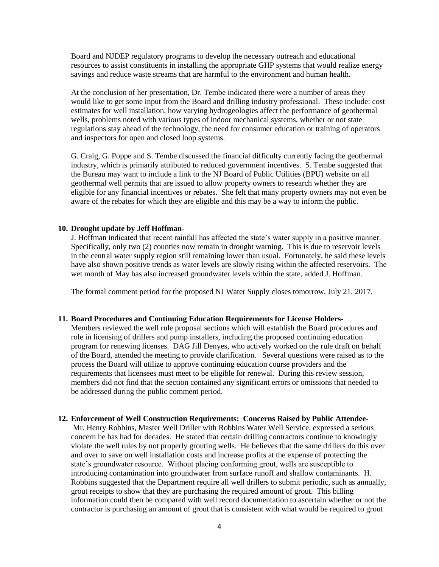Board and NJDEP regulatory programs to develop the necessary outreach and educational resources to assist constituents in installing the appropriate GHP systems that would realize energy savings and reduce waste streams that are harmful to the environment and human health.

At the conclusion of her presentation, Dr. Tembe indicated there were a number of areas they would like to get some input from the Board and drilling industry professional. These include: cost estimates for well installation, how varying hydrogeologies affect the performance of geothermal wells, problems noted with various types of indoor mechanical systems, whether or not state regulations stay ahead of the technology, the need for consumer education or training of operators and inspectors for open and closed loop systems.

G. Craig, G. Poppe and S. Tembe discussed the financial difficulty currently facing the geothermal industry, which is primarily attributed to reduced government incentives. S. Tembe suggested that the Bureau may want to include a link to the NJ Board of Public Utilities (BPU) website on all geothermal well permits that are issued to allow property owners to research whether they are eligible for any financial incentives or rebates. She felt that many property owners may not even be aware of the rebates for which they are eligible and this may be a way to inform the public.

### **10. Drought update by Jeff Hoffman-**

J. Hoffman indicated that recent rainfall has affected the state's water supply in a positive manner. Specifically, only two (2) counties now remain in drought warning. This is due to reservoir levels in the central water supply region still remaining lower than usual. Fortunately, he said these levels have also shown positive trends as water levels are slowly rising within the affected reservoirs. The wet month of May has also increased groundwater levels within the state, added J. Hoffman.

The formal comment period for the proposed NJ Water Supply closes tomorrow, July 21, 2017.

### **11. Board Procedures and Continuing Education Requirements for License Holders-**

Members reviewed the well rule proposal sections which will establish the Board procedures and role in licensing of drillers and pump installers, including the proposed continuing education program for renewing licenses. DAG Jill Denyes, who actively worked on the rule draft on behalf of the Board, attended the meeting to provide clarification. Several questions were raised as to the process the Board will utilize to approve continuing education course providers and the requirements that licensees must meet to be eligible for renewal. During this review session, members did not find that the section contained any significant errors or omissions that needed to be addressed during the public comment period.

### **12. Enforcement of Well Construction Requirements: Concerns Raised by Public Attendee-**

Mr. Henry Robbins, Master Well Driller with Robbins Water Well Service, expressed a serious concern he has had for decades. He stated that certain drilling contractors continue to knowingly violate the well rules by not properly grouting wells. He believes that the same drillers do this over and over to save on well installation costs and increase profits at the expense of protecting the state's groundwater resource. Without placing conforming grout, wells are susceptible to introducing contamination into groundwater from surface runoff and shallow contaminants. H. Robbins suggested that the Department require all well drillers to submit periodic, such as annually, grout receipts to show that they are purchasing the required amount of grout. This billing information could then be compared with well record documentation to ascertain whether or not the contractor is purchasing an amount of grout that is consistent with what would be required to grout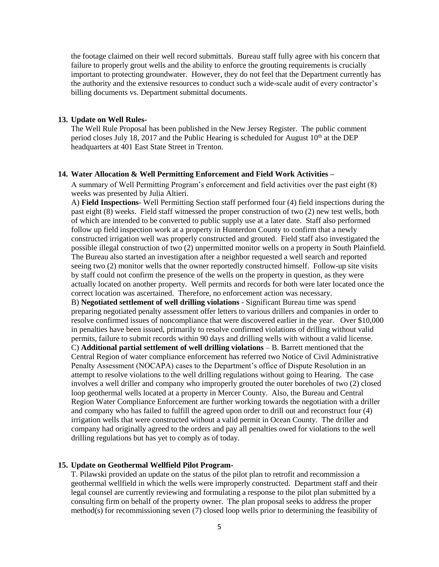the footage claimed on their well record submittals. Bureau staff fully agree with his concern that failure to properly grout wells and the ability to enforce the grouting requirements is crucially important to protecting groundwater. However, they do not feel that the Department currently has the authority and the extensive resources to conduct such a wide-scale audit of every contractor's billing documents vs. Department submittal documents.

### **13. Update on Well Rules-**

The Well Rule Proposal has been published in the New Jersey Register. The public comment period closes July 18, 2017 and the Public Hearing is scheduled for August  $10<sup>th</sup>$  at the DEP headquarters at 401 East State Street in Trenton.

#### **14. Water Allocation & Well Permitting Enforcement and Field Work Activities –**

A summary of Well Permitting Program's enforcement and field activities over the past eight (8) weeks was presented by Julia Altieri.

A) **Field Inspections**- Well Permitting Section staff performed four (4) field inspections during the past eight (8) weeks. Field staff witnessed the proper construction of two (2) new test wells, both of which are intended to be converted to public supply use at a later date. Staff also performed follow up field inspection work at a property in Hunterdon County to confirm that a newly constructed irrigation well was properly constructed and grouted. Field staff also investigated the possible illegal construction of two (2) unpermitted monitor wells on a property in South Plainfield. The Bureau also started an investigation after a neighbor requested a well search and reported seeing two (2) monitor wells that the owner reportedly constructed himself. Follow-up site visits by staff could not confirm the presence of the wells on the property in question, as they were actually located on another property. Well permits and records for both were later located once the correct location was ascertained. Therefore, no enforcement action was necessary.

B) **Negotiated settlement of well drilling violations** - Significant Bureau time was spend preparing negotiated penalty assessment offer letters to various drillers and companies in order to resolve confirmed issues of noncompliance that were discovered earlier in the year. Over \$10,000 in penalties have been issued, primarily to resolve confirmed violations of drilling without valid permits, failure to submit records within 90 days and drilling wells with without a valid license.

C) **Additional partial settlement of well drilling violations** – B. Barrett mentioned that the Central Region of water compliance enforcement has referred two Notice of Civil Administrative Penalty Assessment (NOCAPA) cases to the Department's office of Dispute Resolution in an attempt to resolve violations to the well drilling regulations without going to Hearing. The case involves a well driller and company who improperly grouted the outer boreholes of two (2) closed loop geothermal wells located at a property in Mercer County. Also, the Bureau and Central Region Water Compliance Enforcement are further working towards the negotiation with a driller and company who has failed to fulfill the agreed upon order to drill out and reconstruct four (4) irrigation wells that were constructed without a valid permit in Ocean County. The driller and company had originally agreed to the orders and pay all penalties owed for violations to the well drilling regulations but has yet to comply as of today.

### **15. Update on Geothermal Wellfield Pilot Program-**

T. Pilawski provided an update on the status of the pilot plan to retrofit and recommission a geothermal wellfield in which the wells were improperly constructed. Department staff and their legal counsel are currently reviewing and formulating a response to the pilot plan submitted by a consulting firm on behalf of the property owner. The plan proposal seeks to address the proper method(s) for recommissioning seven (7) closed loop wells prior to determining the feasibility of